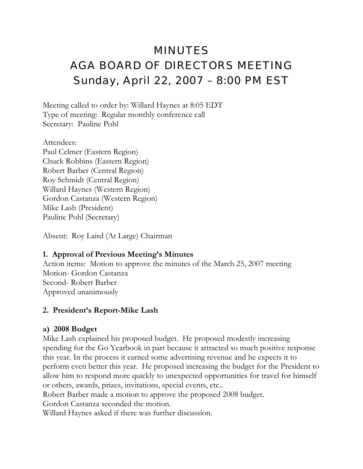# MINUTES AGA BOARD OF DIRECTORS MEETING Sunday, April 22, 2007 – 8:00 PM EST

Meeting called to order by: Willard Haynes at 8:05 EDT Type of meeting: Regular monthly conference call Secretary: Pauline Pohl

Attendees: Paul Celmer (Eastern Region) Chuck Robbins (Eastern Region) Robert Barber (Central Region) Roy Schmidt (Central Region) Willard Haynes (Western Region) Gordon Castanza (Western Region) Mike Lash (President) Pauline Pohl (Secretary)

Absent: Roy Laird (At Large) Chairman

#### **1. Approval of Previous Meeting's Minutes**

Action items: Motion to approve the minutes of the March 25, 2007 meeting Motion- Gordon Castanza Second- Robert Barber Approved unanimously

#### **2. President's Report-Mike Lash**

#### **a) 2008 Budget**

Mike Lash explained his proposed budget. He proposed modestly increasing spending for the Go Yearbook in part because it attracted so much positive response this year. In the process it earned some advertising revenue and he expects it to perform even better this year. He proposed increasing the budget for the President to allow him to respond more quickly to unexpected opportunities for travel for himself or others, awards, prizes, invitations, special events, etc..

Robert Barber made a motion to approve the proposed 2008 budget.

Gordon Castanza seconded the motion.

Willard Haynes asked if there was further discussion.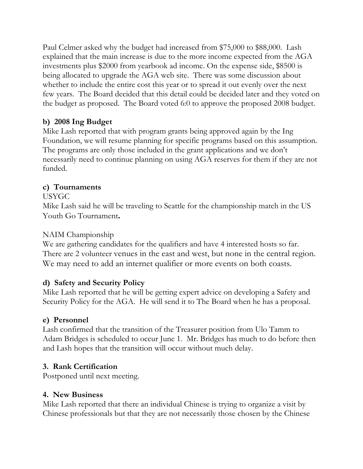Paul Celmer asked why the budget had increased from \$75,000 to \$88,000. Lash explained that the main increase is due to the more income expected from the AGA investments plus \$2000 from yearbook ad income. On the expense side, \$8500 is being allocated to upgrade the AGA web site. There was some discussion about whether to include the entire cost this year or to spread it out evenly over the next few years. The Board decided that this detail could be decided later and they voted on the budget as proposed. The Board voted 6:0 to approve the proposed 2008 budget.

## **b) 2008 Ing Budget**

Mike Lash reported that with program grants being approved again by the Ing Foundation, we will resume planning for specific programs based on this assumption. The programs are only those included in the grant applications and we don't necessarily need to continue planning on using AGA reserves for them if they are not funded.

## **c) Tournaments**

USYGC

Mike Lash said he will be traveling to Seattle for the championship match in the US Youth Go Tournament**.**

### NAIM Championship

We are gathering candidates for the qualifiers and have 4 interested hosts so far. There are 2 volunteer venues in the east and west, but none in the central region. We may need to add an internet qualifier or more events on both coasts.

## **d) Safety and Security Policy**

Mike Lash reported that he will be getting expert advice on developing a Safety and Security Policy for the AGA. He will send it to The Board when he has a proposal.

#### **e) Personnel**

Lash confirmed that the transition of the Treasurer position from Ulo Tamm to Adam Bridges is scheduled to occur June 1. Mr. Bridges has much to do before then and Lash hopes that the transition will occur without much delay.

#### **3. Rank Certification**

Postponed until next meeting.

#### **4. New Business**

Mike Lash reported that there an individual Chinese is trying to organize a visit by Chinese professionals but that they are not necessarily those chosen by the Chinese